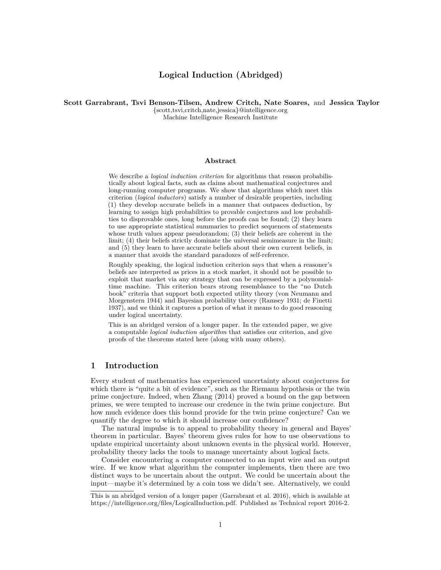# **Logical Induction (Abridged)**

# **Scott Garrabrant, Tsvi Benson-Tilsen, Andrew Critch, Nate Soares,** and **Jessica Taylor** {scott,tsvi,critch,nate,jessica}@intelligence.org

Machine Intelligence Research Institute

## **Abstract**

We describe a *logical induction criterion* for algorithms that reason probabilistically about logical facts, such as claims about mathematical conjectures and long-running computer programs. We show that algorithms which meet this criterion (*logical inductors*) satisfy a number of desirable properties, including (1) they develop accurate beliefs in a manner that outpaces deduction, by learning to assign high probabilities to provable conjectures and low probabilities to disprovable ones, long before the proofs can be found; (2) they learn to use appropriate statistical summaries to predict sequences of statements whose truth values appear pseudorandom; (3) their beliefs are coherent in the limit; (4) their beliefs strictly dominate the universal semimeasure in the limit; and (5) they learn to have accurate beliefs about their own current beliefs, in a manner that avoids the standard paradoxes of self-reference.

Roughly speaking, the logical induction criterion says that when a reasoner's beliefs are interpreted as prices in a stock market, it should not be possible to exploit that market via any strategy that can be expressed by a polynomialtime machine. This criterion bears strong resemblance to the "no Dutch book" criteria that support both expected utility theory (von Neumann and Morgenstern [1944\)](#page-19-0) and Bayesian probability theory (Ramsey [1931;](#page-19-1) de Finetti [1937\)](#page-19-2), and we think it captures a portion of what it means to do good reasoning under logical uncertainty.

This is an abridged version of a longer paper. In the extended paper, we give a computable *logical induction algorithm* that satisfies our criterion, and give proofs of the theorems stated here (along with many others).

# **1 Introduction**

Every student of mathematics has experienced uncertainty about conjectures for which there is "quite a bit of evidence", such as the Riemann hypothesis or the twin prime conjecture. Indeed, when Zhang [\(2014\)](#page-19-3) proved a bound on the gap between primes, we were tempted to increase our credence in the twin prime conjecture. But how much evidence does this bound provide for the twin prime conjecture? Can we quantify the degree to which it should increase our confidence?

The natural impulse is to appeal to probability theory in general and Bayes' theorem in particular. Bayes' theorem gives rules for how to use observations to update empirical uncertainty about unknown events in the physical world. However, probability theory lacks the tools to manage uncertainty about logical facts.

Consider encountering a computer connected to an input wire and an output wire. If we know what algorithm the computer implements, then there are two distinct ways to be uncertain about the output. We could be uncertain about the input—maybe it's determined by a coin toss we didn't see. Alternatively, we could

This is an abridged version of a longer paper (Garrabrant et al. [2016\)](#page-19-4), which is available at [https://intelligence.org/files/LogicalInduction.pdf.](https://intelligence.org/files/LogicalInduction.pdf) Published as Technical report 2016-2.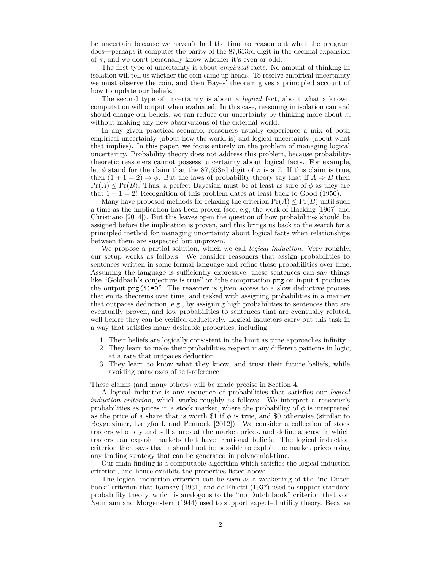be uncertain because we haven't had the time to reason out what the program does—perhaps it computes the parity of the 87,653rd digit in the decimal expansion of  $\pi$ , and we don't personally know whether it's even or odd.

The first type of uncertainty is about *empirical* facts. No amount of thinking in isolation will tell us whether the coin came up heads. To resolve empirical uncertainty we must observe the coin, and then Bayes' theorem gives a principled account of how to update our beliefs.

The second type of uncertainty is about a *logical* fact, about what a known computation will output when evaluated. In this case, reasoning in isolation can and should change our beliefs: we can reduce our uncertainty by thinking more about  $\pi$ , without making any new observations of the external world.

In any given practical scenario, reasoners usually experience a mix of both empirical uncertainty (about how the world is) and logical uncertainty (about what that implies). In this paper, we focus entirely on the problem of managing logical uncertainty. Probability theory does not address this problem, because probabilitytheoretic reasoners cannot possess uncertainty about logical facts. For example, let  $\phi$  stand for the claim that the 87,653rd digit of  $\pi$  is a 7. If this claim is true, then  $(1 + 1 = 2) \Rightarrow \phi$ . But the laws of probability theory say that if  $A \Rightarrow B$  then  $Pr(A) \leq Pr(B)$ . Thus, a perfect Bayesian must be at least as sure of  $\phi$  as they are that  $1 + 1 = 2!$  Recognition of this problem dates at least back to Good [\(1950\)](#page-19-5).

Many have proposed methods for relaxing the criterion  $Pr(A) \leq Pr(B)$  until such a time as the implication has been proven (see, e.g, the work of Hacking [\[1967\]](#page-19-6) and Christiano [\[2014\]](#page-19-7)). But this leaves open the question of how probabilities should be assigned before the implication is proven, and this brings us back to the search for a principled method for managing uncertainty about logical facts when relationships between them are suspected but unproven.

We propose a partial solution, which we call *logical induction*. Very roughly, our setup works as follows. We consider reasoners that assign probabilities to sentences written in some formal language and refine those probabilities over time. Assuming the language is sufficiently expressive, these sentences can say things like "Goldbach's conjecture is true" or "the computation prg on input i produces the output  $prg(i)=0$ ". The reasoner is given access to a slow deductive process that emits theorems over time, and tasked with assigning probabilities in a manner that outpaces deduction, e.g., by assigning high probabilities to sentences that are eventually proven, and low probabilities to sentences that are eventually refuted, well before they can be verified deductively. Logical inductors carry out this task in a way that satisfies many desirable properties, including:

- 1. Their beliefs are logically consistent in the limit as time approaches infinity.
- 2. They learn to make their probabilities respect many different patterns in logic, at a rate that outpaces deduction.
- 3. They learn to know what they know, and trust their future beliefs, while avoiding paradoxes of self-reference.

These claims (and many others) will be made precise in Section [4.](#page-9-0)

A logical inductor is any sequence of probabilities that satisfies our *logical induction criterion*, which works roughly as follows. We interpret a reasoner's probabilities as prices in a stock market, where the probability of  $\phi$  is interpreted as the price of a share that is worth \$1 if  $\phi$  is true, and \$0 otherwise (similar to Beygelzimer, Langford, and Pennock [\[2012\]](#page-19-8)). We consider a collection of stock traders who buy and sell shares at the market prices, and define a sense in which traders can exploit markets that have irrational beliefs. The logical induction criterion then says that it should not be possible to exploit the market prices using any trading strategy that can be generated in polynomial-time.

Our main finding is a computable algorithm which satisfies the logical induction criterion, and hence exhibits the properties listed above.

The logical induction criterion can be seen as a weakening of the "no Dutch book" criterion that Ramsey [\(1931\)](#page-19-1) and de Finetti [\(1937\)](#page-19-2) used to support standard probability theory, which is analogous to the "no Dutch book" criterion that von Neumann and Morgenstern [\(1944\)](#page-19-0) used to support expected utility theory. Because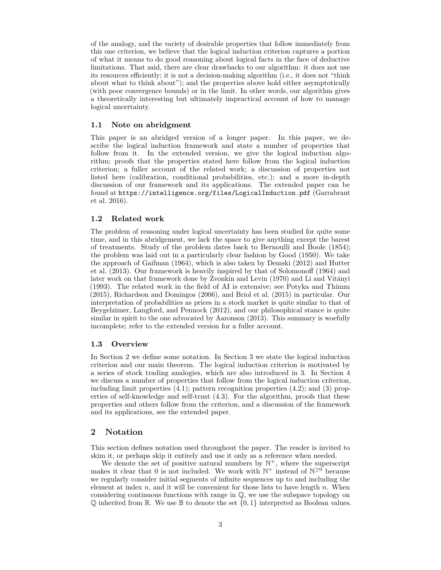of the analogy, and the variety of desirable properties that follow immediately from this one criterion, we believe that the logical induction criterion captures a portion of what it means to do good reasoning about logical facts in the face of deductive limitations. That said, there are clear drawbacks to our algorithm: it does not use its resources efficiently; it is not a decision-making algorithm (i.e., it does not "think about what to think about"); and the properties above hold either asymptotically (with poor convergence bounds) or in the limit. In other words, our algorithm gives a theoretically interesting but ultimately impractical account of how to manage logical uncertainty.

#### **1.1 Note on abridgment**

This paper is an abridged version of a longer paper. In this paper, we describe the logical induction framework and state a number of properties that follow from it. In the extended version, we give the logical induction algorithm; proofs that the properties stated here follow from the logical induction criterion; a fuller account of the related work; a discussion of properties not listed here (calibration, conditional probabilities, etc.); and a more in-depth discussion of our framework and its applications. The extended paper can be found at <https://intelligence.org/files/LogicalInduction.pdf> (Garrabrant et al. [2016\)](#page-19-4).

# **1.2 Related work**

The problem of reasoning under logical uncertainty has been studied for quite some time, and in this abridgement, we lack the space to give anything except the barest of treatments. Study of the problem dates back to Bernoulli and Boole [\(1854\)](#page-19-9); the problem was laid out in a particularly clear fashion by Good [\(1950\)](#page-19-5). We take the approach of Gaifman [\(1964\)](#page-19-10), which is also taken by Demski [\(2012\)](#page-19-11) and Hutter et al. [\(2013\)](#page-19-12). Our framework is heavily inspired by that of Solomonoff [\(1964\)](#page-19-13) and later work on that framework done by Zvonkin and Levin [\(1970\)](#page-19-14) and Li and Vitányi [\(1993\)](#page-19-15). The related work in the field of AI is extensive; see Potyka and Thimm [\(2015\)](#page-19-16), Richardson and Domingos [\(2006\)](#page-19-17), and Briol et al. [\(2015\)](#page-19-18) in particular. Our interpretation of probabilities as prices in a stock market is quite similar to that of Beygelzimer, Langford, and Pennock [\(2012\)](#page-19-8), and our philosophical stance is quite similar in spirit to the one advocated by Aaronson [\(2013\)](#page-19-19). This summary is woefully incomplete; refer to the extended version for a fuller account.

# **1.3 Overview**

In Section [2](#page-2-0) we define some notation. In Section [3](#page-3-0) we state the logical induction criterion and our main theorem. The logical induction criterion is motivated by a series of stock trading analogies, which are also introduced in [3.](#page-3-0) In Section [4](#page-9-0) we discuss a number of properties that follow from the logical induction criterion, including limit properties [\(4.1\)](#page-10-0); pattern recognition properties [\(4.2\)](#page-10-1); and (3) properties of self-knowledge and self-trust [\(4.3\)](#page-14-0). For the algorithm, proofs that these properties and others follow from the criterion, and a discussion of the framework and its applications, see the extended paper.

# <span id="page-2-0"></span>**2 Notation**

This section defines notation used throughout the paper. The reader is invited to skim it, or perhaps skip it entirely and use it only as a reference when needed.

We denote the set of positive natural numbers by  $\mathbb{N}^+$ , where the superscript makes it clear that 0 is not included. We work with  $\mathbb{N}^+$  instead of  $\mathbb{N}^{\geq 0}$  because we regularly consider initial segments of infinite sequences up to and including the element at index *n*, and it will be convenient for those lists to have length *n*. When considering continuous functions with range in Q, we use the subspace topology on  $\mathbb Q$  inherited from  $\mathbb R$ . We use  $\mathbb B$  to denote the set  $\{0,1\}$  interpreted as Boolean values.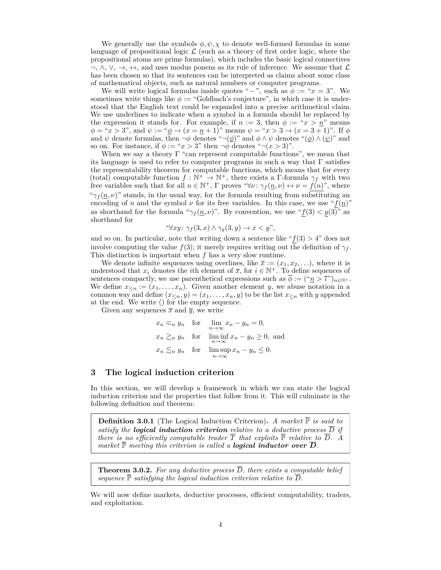We generally use the symbols  $\phi, \psi, \chi$  to denote well-formed formulas in some language of propositional logic  $\mathcal L$  (such as a theory of first order logic, where the propositional atoms are prime formulas), which includes the basic logical connectives  $\neg, \wedge, \vee, \rightarrow, \leftrightarrow$ , and uses modus ponens as its rule of inference. We assume that  $\mathcal{L}$ has been chosen so that its sentences can be interpreted as claims about some class of mathematical objects, such as natural numbers or computer programs.

We will write logical formulas inside quotes "−", such as  $\phi := "x = 3"$ . We sometimes write things like  $\phi :=$  "Goldbach's conjecture", in which case it is understood that the English text could be expanded into a precise arithmetical claim. We use underlines to indicate when a symbol in a formula should be replaced by the expression it stands for. For example, if  $n := 3$ , then  $\phi := x > n$ " means  $\phi =$  " $x > 3$ ", and  $\psi :=$  " $\phi \to (x = n + 1)$ " means  $\psi =$  " $x > 3 \to (x = 3 + 1)$ ". If  $\phi$ and  $\psi$  denote formulas, then  $\neg \phi$  denotes " $\neg (\phi)$ " and  $\phi \wedge \psi$  denotes " $(\phi) \wedge (\psi)$ " and so on. For instance, if  $\phi := x > 3$ " then  $\neg \phi$  denotes " $\neg (x > 3)$ ".

When we say a theory  $\Gamma$  "can represent computable functions", we mean that its language is used to refer to computer programs in such a way that Γ satisfies the representability theorem for computable functions, which means that for every (total) computable function  $f : \mathbb{N}^+ \to \mathbb{N}^+$ , there exists a Γ-formula  $\gamma_f$  with two free variables such that for all  $n \in \mathbb{N}^+$ ,  $\Gamma$  proves " $\forall \nu : \gamma_f(n, \nu) \leftrightarrow \nu = f(n)$ ", where " $\gamma_f(\underline{n}, \nu)$ " stands, in the usual way, for the formula resulting from substituting an encoding of *n* and the symbol  $\nu$  for its free variables. In this case, we use " $f(n)$ " as shorthand for the formula " $\gamma_f(n, \nu)$ ". By convention, we use " $f(3) < g(3)$ " as shorthand for

$$
\text{``}\forall xy \colon \gamma_f(3, x) \land \gamma_g(3, y) \to x < y\text{''},
$$

and so on. In particular, note that writing down a sentence like " $f(3) > 4$ " does not involve computing the value  $f(3)$ ; it merely requires writing out the definition of  $\gamma_f$ . This distinction is important when *f* has a very slow runtime.

We denote infinite sequences using overlines, like  $\bar{x} := (x_1, x_2, \ldots)$ , where it is understood that  $x_i$  denotes the *i*th element of  $\overline{x}$ , for  $i \in \mathbb{N}^+$ . To define sequences of sentences compactly, we use parenthetical expressions such as  $\phi := (\alpha n > 7)_{n \in \mathbb{N}^+}$ . We define  $x_{\leq n} := (x_1, \ldots, x_n)$ . Given another element *y*, we abuse notation in a common way and define  $(x_{\leq n}, y) = (x_1, \ldots, x_n, y)$  to be the list  $x_{\leq n}$  with *y* appended at the end. We write () for the empty sequence.

Given any sequences  $\bar{x}$  and  $\bar{y}$ , we write

$$
x_n \gtrsim_n y_n \quad \text{for} \quad \lim_{n \to \infty} x_n - y_n = 0,
$$
  
\n
$$
x_n \gtrsim_n y_n \quad \text{for} \quad \liminf_{n \to \infty} x_n - y_n \ge 0, \text{ and}
$$
  
\n
$$
x_n \lesssim_n y_n \quad \text{for} \quad \limsup_{n \to \infty} x_n - y_n \le 0.
$$

# <span id="page-3-0"></span>**3 The logical induction criterion**

In this section, we will develop a framework in which we can state the logical induction criterion and the properties that follow from it. This will culminate in the following definition and theorem:

**Definition 3.0.1** (The Logical Induction Criterion). *A market*  $\overline{P}$  *is said to satisfy the logical induction criterion relative to a deductive process*  $\overline{D}$  *if there is no efficiently computable trader*  $\overline{T}$  *that exploits*  $\overline{P}$  *relative to*  $\overline{D}$ *.* A *market*  $\overline{P}$  *meeting this criterion is called a <i>logical inductor over*  $\overline{D}$ *.* 

**Theorem 3.0.2.** For any deductive process  $\overline{D}$ , there exists a computable belief *sequence*  $\bar{\mathbb{P}}$  *satisfying the logical induction criterion relative to*  $\bar{D}$ *.* 

We will now define markets, deductive processes, efficient computability, traders, and exploitation.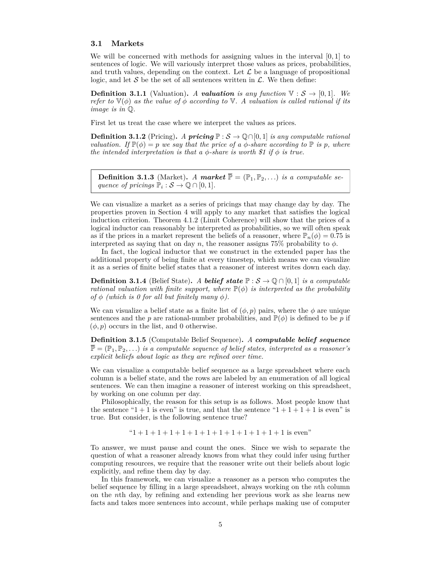#### **3.1 Markets**

We will be concerned with methods for assigning values in the interval [0*,* 1] to sentences of logic. We will variously interpret those values as prices, probabilities, and truth values, depending on the context. Let  $\mathcal L$  be a language of propositional logic, and let S be the set of all sentences written in  $\mathcal{L}$ . We then define:

**Definition 3.1.1** (Valuation). *A valuation* is any function  $\nabla : \mathcal{S} \to [0,1]$ *. We refer to*  $\mathbb{V}(\phi)$  *as the value of*  $\phi$  *according to*  $\mathbb{V}$ *. A valuation is called rational if its image is in* Q*.*

First let us treat the case where we interpret the values as prices.

**Definition 3.1.2** (Pricing). *A* **pricing**  $\mathbb{P}: \mathcal{S} \to \mathbb{Q} \cap [0, 1]$  *is any computable rational valuation.* If  $\mathbb{P}(\phi) = p$  *we say that the price of a*  $\phi$ -share according to  $\mathbb{P}$  *is p*, where *the intended interpretation is that a*  $\phi$ -share *is worth* \$1 if  $\phi$  *is true.* 

**Definition 3.1.3** (Market). A market  $\overline{\mathbb{P}} = (\mathbb{P}_1, \mathbb{P}_2, \ldots)$  *is a computable sequence of pricings*  $\mathbb{P}_i : \mathcal{S} \to \mathbb{Q} \cap [0,1].$ 

We can visualize a market as a series of pricings that may change day by day. The properties proven in Section [4](#page-9-0) will apply to any market that satisfies the logical induction criterion. Theorem [4.1.2](#page-10-2) [\(Limit Coherence\)](#page-10-2) will show that the prices of a logical inductor can reasonably be interpreted as probabilities, so we will often speak as if the prices in a market represent the beliefs of a reasoner, where  $\mathbb{P}_n(\phi) = 0.75$  is interpreted as saying that on day  $n$ , the reasoner assigns 75% probability to  $\phi$ .

In fact, the logical inductor that we construct in the extended paper has the additional property of being finite at every timestep, which means we can visualize it as a series of finite belief states that a reasoner of interest writes down each day.

**Definition 3.1.4** (Belief State). *A belief state*  $\mathbb{P}: \mathcal{S} \to \mathbb{Q} \cap [0,1]$  *is a computable rational valuation with finite support, where*  $\mathbb{P}(\phi)$  *is interpreted as the probability of*  $\phi$  *(which is 0 for all but finitely many*  $\phi$ *).* 

We can visualize a belief state as a finite list of  $(\phi, p)$  pairs, where the  $\phi$  are unique sentences and the *p* are rational-number probabilities, and  $\mathbb{P}(\phi)$  is defined to be *p* if  $(\phi, p)$  occurs in the list, and 0 otherwise.

**Definition 3.1.5** (Computable Belief Sequence)**.** *A computable belief sequence*  $\overline{\mathbb{P}} = (\mathbb{P}_1, \mathbb{P}_2, \ldots)$  *is a computable sequence of belief states, interpreted as a reasoner's explicit beliefs about logic as they are refined over time.*

We can visualize a computable belief sequence as a large spreadsheet where each column is a belief state, and the rows are labeled by an enumeration of all logical sentences. We can then imagine a reasoner of interest working on this spreadsheet, by working on one column per day.

Philosophically, the reason for this setup is as follows. Most people know that the sentence " $1 + 1$  is even" is true, and that the sentence " $1 + 1 + 1 + 1$  is even" is true. But consider, is the following sentence true?

 $i+1+1+1+1+1+1+1+1+1+1+1+1+1$  is even"

To answer, we must pause and count the ones. Since we wish to separate the question of what a reasoner already knows from what they could infer using further computing resources, we require that the reasoner write out their beliefs about logic explicitly, and refine them day by day.

In this framework, we can visualize a reasoner as a person who computes the belief sequence by filling in a large spreadsheet, always working on the *n*th column on the *n*th day, by refining and extending her previous work as she learns new facts and takes more sentences into account, while perhaps making use of computer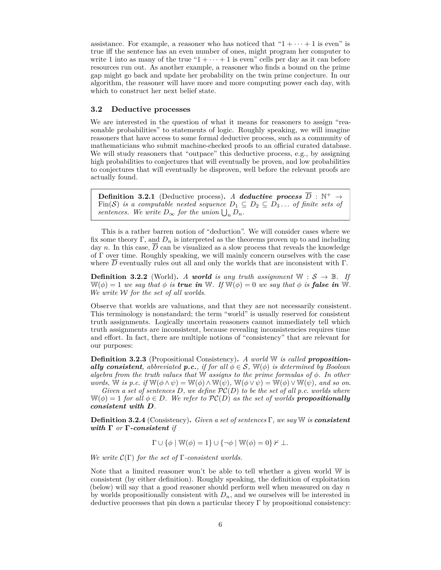assistance. For example, a reasoner who has noticed that " $1 + \cdots + 1$  is even" is true iff the sentence has an even number of ones, might program her computer to write 1 into as many of the true " $1 + \cdots + 1$  is even" cells per day as it can before resources run out. As another example, a reasoner who finds a bound on the prime gap might go back and update her probability on the twin prime conjecture. In our algorithm, the reasoner will have more and more computing power each day, with which to construct her next belief state.

## **3.2 Deductive processes**

We are interested in the question of what it means for reasoners to assign "reasonable probabilities" to statements of logic. Roughly speaking, we will imagine reasoners that have access to some formal deductive process, such as a community of mathematicians who submit machine-checked proofs to an official curated database. We will study reasoners that "outpace" this deductive process, e.g., by assigning high probabilities to conjectures that will eventually be proven, and low probabilities to conjectures that will eventually be disproven, well before the relevant proofs are actually found.

**Definition 3.2.1** (Deductive process). A deductive process  $\overline{D}$  :  $\mathbb{N}^+$   $\rightarrow$ Fin(S) *is a computable nested sequence*  $D_1 \subseteq D_2 \subseteq D_3 \dots$  *of finite sets of sentences.* We write  $D_{\infty}$  for the union  $\bigcup_{n} D_{n}$ .

This is a rather barren notion of "deduction". We will consider cases where we fix some theory Γ, and  $D_n$  is interpreted as the theorems proven up to and including day *n*. In this case,  $\overline{D}$  can be visualized as a slow process that reveals the knowledge of Γ over time. Roughly speaking, we will mainly concern ourselves with the case where  $\overline{D}$  eventually rules out all and only the worlds that are inconsistent with  $\Gamma$ .

**Definition 3.2.2** (World). *A world is any truth assignment*  $W : S \rightarrow \mathbb{B}$ . If  $W(\phi) = 1$  *we say that*  $\phi$  *is true in* W*. If*  $W(\phi) = 0$  *we say that*  $\phi$  *is false in* W. *We write* W *for the set of all worlds.*

Observe that worlds are valuations, and that they are not necessarily consistent. This terminology is nonstandard; the term "world" is usually reserved for consistent truth assignments. Logically uncertain reasoners cannot immediately tell which truth assignments are inconsistent, because revealing inconsistencies requires time and effort. In fact, there are multiple notions of "consistency" that are relevant for our purposes:

**Definition 3.2.3** (Propositional Consistency)**.** *A world* W *is called propositionally consistent, abbreviated p.c., if for all*  $\phi \in S$ ,  $\mathbb{W}(\phi)$  *is determined by Boolean algebra from the truth values that* W *assigns to the prime formulas of φ. In other words,* W *is p.c. if*  $W(\phi \land \psi) = W(\phi) \land W(\psi)$ ,  $W(\phi \lor \psi) = W(\phi) \lor W(\psi)$ , and so on.

*Given a set of sentences*  $D$ *, we define*  $PC(D)$  *to be the set of all p.c. worlds where*  $W(\phi) = 1$  *for all*  $\phi \in D$ *. We refer to*  $PC(D)$  *as the set of worlds propositionally consistent with D.*

**Definition 3.2.4** (Consistency)**.** *Given a set of sentences* Γ*, we say* W *is consistent with* **Γ** *or* **Γ***-consistent if*

$$
\Gamma \cup \{\phi \mid \mathbb{W}(\phi) = 1\} \cup \{\neg \phi \mid \mathbb{W}(\phi) = 0\} \nvdash \bot.
$$

*We write* C(Γ) *for the set of* Γ*-consistent worlds.*

Note that a limited reasoner won't be able to tell whether a given world W is consistent (by either definition). Roughly speaking, the definition of exploitation (below) will say that a good reasoner should perform well when measured on day *n* by worlds propositionally consistent with  $D_n$ , and we ourselves will be interested in deductive processes that pin down a particular theory  $\Gamma$  by propositional consistency: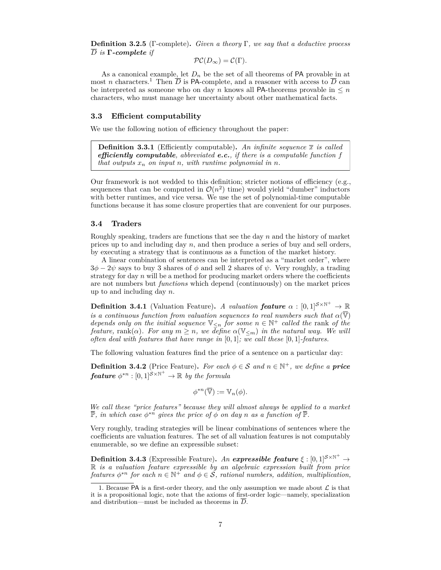**Definition 3.2.5** (Γ-complete)**.** *Given a theory* Γ*, we say that a deductive process D is* **Γ***-complete if*

$$
\mathcal{PC}(D_{\infty})=\mathcal{C}(\Gamma).
$$

As a canonical example, let  $D_n$  be the set of all theorems of PA provable in at most *n* characters.<sup>[1](#page-6-0)</sup> Then  $\overline{D}$  is PA-complete, and a reasoner with access to  $\overline{D}$  can be interpreted as someone who on day *n* knows all PA-theorems provable in  $\leq n$ characters, who must manage her uncertainty about other mathematical facts.

#### **3.3 Efficient computability**

We use the following notion of efficiency throughout the paper:

**Definition 3.3.1** (Efficiently computable). An infinite sequence  $\bar{x}$  is called *efficiently computable, abbreviated e.c., if there is a computable function f that outputs*  $x_n$  *on input*  $n$ *, with runtime polynomial in*  $n$ *.* 

Our framework is not wedded to this definition; stricter notions of efficiency (e.g., sequences that can be computed in  $\mathcal{O}(n^2)$  time) would yield "dumber" inductors with better runtimes, and vice versa. We use the set of polynomial-time computable functions because it has some closure properties that are convenient for our purposes.

## **3.4 Traders**

Roughly speaking, traders are functions that see the day *n* and the history of market prices up to and including day *n*, and then produce a series of buy and sell orders, by executing a strategy that is continuous as a function of the market history.

A linear combination of sentences can be interpreted as a "market order", where  $3\phi - 2\psi$  says to buy 3 shares of  $\phi$  and sell 2 shares of  $\psi$ . Very roughly, a trading strategy for day  $n$  will be a method for producing market orders where the coefficients are not numbers but *functions* which depend (continuously) on the market prices up to and including day *n*.

**Definition 3.4.1** (Valuation Feature). *A valuation feature*  $\alpha : [0,1]^{S \times \mathbb{N}^+} \to \mathbb{R}$ *is a continuous function from valuation sequences to real numbers such that*  $\alpha(\overline{\mathbb{V}})$ *depends only on the initial sequence*  $\mathbb{V}_{\leq n}$  *for some*  $n \in \mathbb{N}^+$  *called the* rank *of the feature,* rank $(\alpha)$ *. For any*  $m \geq n$ *, we define*  $\alpha(\mathbb{V}_{\leq m})$  *in the natural way. We will often deal with features that have range in* [0*,* 1]*; we call these* [0*,* 1]*-features.*

The following valuation features find the price of a sentence on a particular day:

**Definition 3.4.2** (Price Feature). For each  $\phi \in \mathcal{S}$  and  $n \in \mathbb{N}^+$ , we define a **price**  $\textbf{\textit{feature}} \phi^{*n}: [0,1]^{\mathcal{S} \times \mathbb{N}^+} \to \mathbb{R} \textit{ by the formula}$ 

$$
\phi^{*n}(\overline{\mathbb{V}}) := \mathbb{V}_n(\phi).
$$

*We call these "price features" because they will almost always be applied to a market*  $\overline{\mathbb{P}}$ , in which case  $\phi^{*n}$  gives the price of  $\phi$  on day *n* as a function of  $\overline{\mathbb{P}}$ .

Very roughly, trading strategies will be linear combinations of sentences where the coefficients are valuation features. The set of all valuation features is not computably enumerable, so we define an expressible subset:

**Definition 3.4.3** (Expressible Feature). *An expressible feature*  $\xi : [0,1]^{S \times \mathbb{N}^+} \rightarrow$ R *is a valuation feature expressible by an algebraic expression built from price features*  $\phi^{*n}$  *for each*  $n \in \mathbb{N}^+$  *and*  $\phi \in \mathcal{S}$ *, rational numbers, addition, multiplication,* 

<span id="page-6-0"></span><sup>1.</sup> Because PA is a first-order theory, and the only assumption we made about  $\mathcal L$  is that it is a propositional logic, note that the axioms of first-order logic—namely, specialization and distribution—must be included as theorems in  $\overline{D}$ .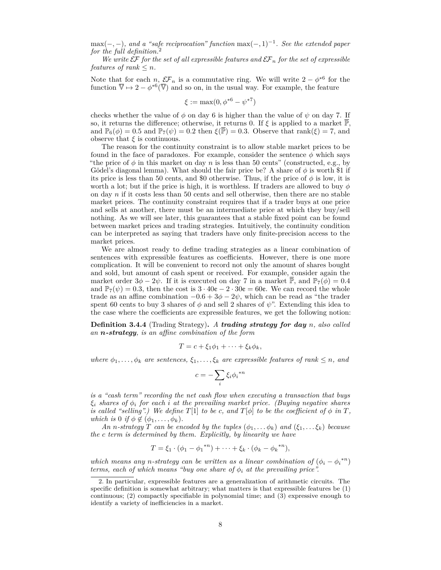max(−*,* −)*, and a "safe reciprocation" function* max(−*,* 1)−<sup>1</sup> *. See the extended paper for the full definition.*[2](#page-7-0)

*We write*  $\mathcal{E}F$  *for the set of all expressible features and*  $\mathcal{E}F_n$  *for the set of expressible features of rank*  $\leq n$ *.* 

Note that for each *n*,  $\mathcal{EF}_n$  is a commutative ring. We will write  $2 - \phi^{*6}$  for the function  $\overline{\mathbb{V}} \mapsto 2 - \phi^{*6}(\overline{\mathbb{V}})$  and so on, in the usual way. For example, the feature

$$
\xi := \max(0, \phi^{*6} - \psi^{*7})
$$

checks whether the value of  $\phi$  on day 6 is higher than the value of  $\psi$  on day 7. If so, it returns the difference; otherwise, it returns 0. If  $\xi$  is applied to a market  $\mathbb{P}$ , and  $\mathbb{P}_6(\phi) = 0.5$  and  $\mathbb{P}_7(\psi) = 0.2$  then  $\xi(\overline{\mathbb{P}}) = 0.3$ . Observe that rank( $\xi$ ) = 7, and observe that  $\xi$  is continuous.

The reason for the continuity constraint is to allow stable market prices to be found in the face of paradoxes. For example, consider the sentence  $\phi$  which says "the price of  $\phi$  in this market on day *n* is less than 50 cents" (constructed, e.g., by Gödel's diagonal lemma). What should the fair price be? A share of  $\phi$  is worth \$1 if its price is less than 50 cents, and \$0 otherwise. Thus, if the price of  $\phi$  is low, it is worth a lot; but if the price is high, it is worthless. If traders are allowed to buy  $\phi$ on day *n* if it costs less than 50 cents and sell otherwise, then there are no stable market prices. The continuity constraint requires that if a trader buys at one price and sells at another, there must be an intermediate price at which they buy/sell nothing. As we will see later, this guarantees that a stable fixed point can be found between market prices and trading strategies. Intuitively, the continuity condition can be interpreted as saying that traders have only finite-precision access to the market prices.

We are almost ready to define trading strategies as a linear combination of sentences with expressible features as coefficients. However, there is one more complication. It will be convenient to record not only the amount of shares bought and sold, but amount of cash spent or received. For example, consider again the market order  $3\phi - 2\psi$ . If it is executed on day 7 in a market  $\overline{P}$ , and  $\mathbb{P}_7(\phi) = 0.4$ and  $\mathbb{P}_7(\psi) = 0.3$ , then the cost is  $3 \cdot 40\mathfrak{e} - 2 \cdot 30\mathfrak{e} = 60\mathfrak{e}$ . We can record the whole trade as an affine combination  $-0.6 + 3\phi - 2\psi$ , which can be read as "the trader spent 60 cents to buy 3 shares of  $\phi$  and sell 2 shares of  $\psi$ ". Extending this idea to the case where the coefficients are expressible features, we get the following notion:

**Definition 3.4.4** (Trading Strategy)**.** *A trading strategy for day n, also called an n-strategy, is an affine combination of the form*

$$
T = c + \xi_1 \phi_1 + \dots + \xi_k \phi_k,
$$

*where*  $\phi_1, \ldots, \phi_k$  *are sentences,*  $\xi_1, \ldots, \xi_k$  *are expressible features of rank*  $\leq n$ *, and* 

$$
c = -\sum_{i} \xi_i {\phi_i}^{*n}
$$

*is a "cash term" recording the net cash flow when executing a transaction that buys ξ<sup>i</sup> shares of φ<sup>i</sup> for each i at the prevailing market price. (Buying negative shares is called "selling".) We define*  $T[1]$  *to be c, and*  $T[\phi]$  *to be the coefficient of*  $\phi$  *in*  $T$ *, which is*  $0$  *if*  $\phi \notin (\phi_1, \ldots, \phi_k)$ *.* 

*An n*-strategy  $T$  can be encoded by the tuples  $(\phi_1, \ldots, \phi_k)$  and  $(\xi_1, \ldots, \xi_k)$  because *the c term is determined by them. Explicitly, by linearity we have*

$$
T = \xi_1 \cdot (\phi_1 - {\phi_1}^{*n}) + \cdots + \xi_k \cdot (\phi_k - {\phi_k}^{*n}),
$$

*which means any n-strategy can be written as a linear combination of*  $(\phi_i - \phi_i^{*n})$ *terms, each of which means "buy one share of*  $\phi_i$  *at the prevailing price".* 

<span id="page-7-0"></span><sup>2.</sup> In particular, expressible features are a generalization of arithmetic circuits. The specific definition is somewhat arbitrary; what matters is that expressible features be (1) continuous; (2) compactly specifiable in polynomial time; and (3) expressive enough to identify a variety of inefficiencies in a market.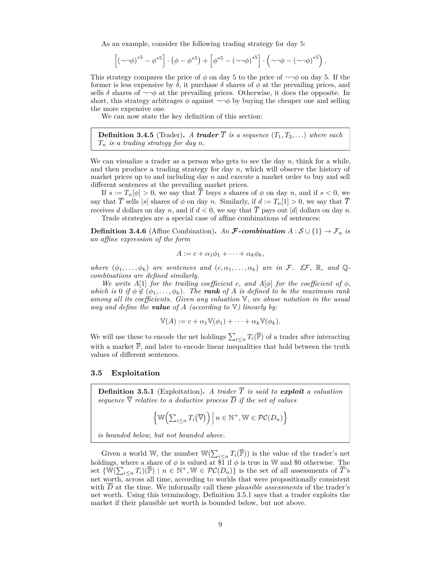As an example, consider the following trading strategy for day 5:

$$
\left[ \left( \neg \neg \phi \right)^{*5} - \phi^{*5} \right] \cdot \left( \phi - \phi^{*5} \right) + \left[ \phi^{*5} - \left( \neg \neg \phi \right)^{*5} \right] \cdot \left( \neg \neg \phi - \left( \neg \neg \phi \right)^{*5} \right).
$$

This strategy compares the price of  $\phi$  on day 5 to the price of  $\neg\neg \phi$  on day 5. If the former is less expensive by  $\delta$ , it purchase  $\delta$  shares of  $\phi$  at the prevailing prices, and sells  $\delta$  shares of  $\neg\neg\phi$  at the prevailing prices. Otherwise, it does the opposite. In short, this strategy arbitrages  $\phi$  against  $\neg\neg \phi$  by buying the cheaper one and selling the more expensive one.

We can now state the key definition of this section:

**Definition 3.4.5** (Trader). A **trader**  $\overline{T}$  is a sequence  $(T_1, T_2, \ldots)$  where each *T<sup>n</sup> is a trading strategy for day n.*

We can visualize a trader as a person who gets to see the day *n*, think for a while, and then produce a trading strategy for day *n*, which will observe the history of market prices up to and including day *n* and execute a market order to buy and sell different sentences at the prevailing market prices.

If  $s := T_n[\phi] > 0$ , we say that  $\overline{T}$  buys *s* shares of  $\phi$  on day *n*, and if  $s < 0$ , we say that  $\overline{T}$  sells |*s*| shares of  $\phi$  on day *n*. Similarly, if  $d := T_n[1] > 0$ , we say that  $\overline{T}$ receives *d* dollars on day *n*, and if  $d < 0$ , we say that  $\overline{T}$  pays out |*d*| dollars on day *n*.

Trade strategies are a special case of affine combinations of sentences:

<span id="page-8-1"></span>**Definition 3.4.6** (Affine Combination). *An* **F**-combination  $A : \mathcal{S} \cup \{1\} \rightarrow \mathcal{F}_n$  *is an affine expression of the form*

$$
A := c + \alpha_1 \phi_1 + \dots + \alpha_k \phi_k,
$$

*where*  $(\phi_1, \ldots, \phi_k)$  *are sentences and*  $(c, \alpha_1, \ldots, \alpha_k)$  *are in* F. EF, R, and Q*combinations are defined similarly.*

*We write*  $A[1]$  *for the trailing coefficient c, and*  $A[\phi]$  *for the coefficient of*  $\phi$ *, which is* 0 *if*  $\phi \notin (\phi_1, \ldots, \phi_k)$ . The **rank** of A *is defined to be the maximum rank among all its coefficients. Given any valuation* V*, we abuse notation in the usual way and define the value of A (according to* V*) linearly by:*

$$
\mathbb{V}(A) := c + \alpha_1 \mathbb{V}(\phi_1) + \cdots + \alpha_k \mathbb{V}(\phi_k).
$$

We will use these to encode the net holdings  $\sum_{i \leq n} T_i(\overline{P})$  of a trader after interacting with a market  $\overline{P}$ , and later to encode linear inequalities that hold between the truth values of different sentences.

## **3.5 Exploitation**

<span id="page-8-0"></span>**Definition 3.5.1** (Exploitation). A trader  $\overline{T}$  is said to exploit a valuation *sequence*  $\overline{\nabla}$  *relative to a deductive process*  $\overline{D}$  *if the set of values* 

$$
\left\{\mathbb{W}\Big(\sum_{i\leq n}T_i\big(\overline{\mathbb{V}}\big)\Big)\,\Big|\,n\in\mathbb{N}^+,\mathbb{W}\in\mathcal{PC}(D_n)\right\}
$$

*is bounded below, but not bounded above.*

Given a world W, the number  $\mathbb{W}(\sum_{i \leq n} T_i(\overline{\mathbb{P}}))$  is the value of the trader's net holdings, where a share of  $\phi$  is valued at  $\overline{\$1}$  if  $\phi$  is true in W and \$0 otherwise. The set  $\{ \mathbb{W}(\sum_{i \leq n} T_i)(\overline{\mathbb{P}}) \mid n \in \mathbb{N}^+, \mathbb{W} \in \mathcal{PC}(D_n) \}$  is the set of all assessments of  $\overline{T}$ 's net worth, across all time, according to worlds that were propositionally consistent with *D* at the time. We informally call these *plausible assessments* of the trader's net worth. Using this terminology, Definition [3.5.1](#page-8-0) says that a trader exploits the market if their plausible net worth is bounded below, but not above.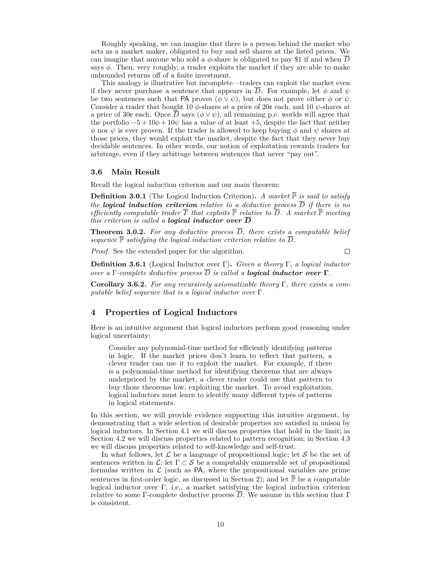Roughly speaking, we can imagine that there is a person behind the market who acts as a market maker, obligated to buy and sell shares at the listed prices. We can imagine that anyone who sold a  $\phi$ -share is obligated to pay \$1 if and when  $\overline{D}$ says  $\phi$ . Then, very roughly, a trader exploits the market if they are able to make unbounded returns off of a finite investment.

This analogy is illustrative but incomplete—traders can exploit the market even if they never purchase a sentence that appears in  $\overline{D}$ . For example, let  $\phi$  and  $\psi$ be two sentences such that PA proves  $(\phi \lor \psi)$ , but does not prove either  $\phi$  or  $\psi$ . Consider a trader that bought 10 *φ*-shares at a price of 20¢ each, and 10 *ψ*-shares at a price of 30¢ each. Once  $\overline{D}$  says ( $\phi \vee \psi$ ), all remaining p.c. worlds will agree that the portfolio  $-5 + 10\phi + 10\psi$  has a value of at least  $+5$ , despite the fact that neither *φ* nor *ψ* is ever proven. If the trader is allowed to keep buying *φ* and *ψ* shares at those prices, they would exploit the market, despite the fact that they never buy decidable sentences. In other words, our notion of exploitation rewards traders for arbitrage, even if they arbitrage between sentences that never "pay out".

#### **3.6 Main Result**

Recall the logical induction criterion and our main theorem:

**Definition 3.0.1** (The Logical Induction Criterion). *A market*  $\overline{P}$  *is said to satisfy the logical induction criterion relative to a deductive process*  $\overline{D}$  *if there is no efficiently computable trader*  $\overline{T}$  *that exploits*  $\overline{P}$  *relative to*  $\overline{D}$ *. A market*  $\overline{P}$  *meeting this criterion is called a <i>logical inductor over*  $\overline{D}$ *.* 

**Theorem 3.0.2.** For any deductive process  $\overline{D}$ , there exists a computable belief *sequence*  $\mathbb{P}$  *satisfying the logical induction criterion relative to*  $\overline{D}$ *.* 

*Proof.* See the extended paper for the algorithm.

 $\Box$ 

**Definition 3.6.1** (Logical Inductor over Γ)**.** *Given a theory* Γ*, a logical inductor over a* Γ*-complete deductive process*  $\overline{D}$  *is called a <i>logical inductor over* Γ*.* 

**Corollary 3.6.2.** *For any recursively axiomatizable theory* Γ*, there exists a computable belief sequence that is a logical inductor over* Γ*.*

# <span id="page-9-0"></span>**4 Properties of Logical Inductors**

Here is an intuitive argument that logical inductors perform good reasoning under logical uncertainty:

Consider any polynomial-time method for efficiently identifying patterns in logic. If the market prices don't learn to reflect that pattern, a clever trader can use it to exploit the market. For example, if there is a polynomial-time method for identifying theorems that are always underpriced by the market, a clever trader could use that pattern to buy those theorems low, exploiting the market. To avoid exploitation, logical inductors must learn to identify many different types of patterns in logical statements.

In this section, we will provide evidence supporting this intuitive argument, by demonstrating that a wide selection of desirable properties are satisfied in unison by logical inductors. In Section [4.1](#page-10-0) we will discuss properties that hold in the limit; in Section [4.2](#page-10-1) we will discuss properties related to pattern recognition; in Section [4.3](#page-14-0) we will discuss properties related to self-knowledge and self-trust.

In what follows, let  $\mathcal L$  be a language of propositional logic; let  $\mathcal S$  be the set of sentences written in  $\mathcal{L}$ ; let  $\Gamma \subset \mathcal{S}$  be a computably enumerable set of propositional formulas written in  $\mathcal L$  (such as PA, where the propositional variables are prime sentences in first-order logic, as discussed in Section [2\)](#page-2-0); and let  $\overline{P}$  be a computable logical inductor over Γ, i.e., a market satisfying the logical induction criterion relative to some Γ-complete deductive process  $\overline{D}$ . We assume in this section that Γ is consistent.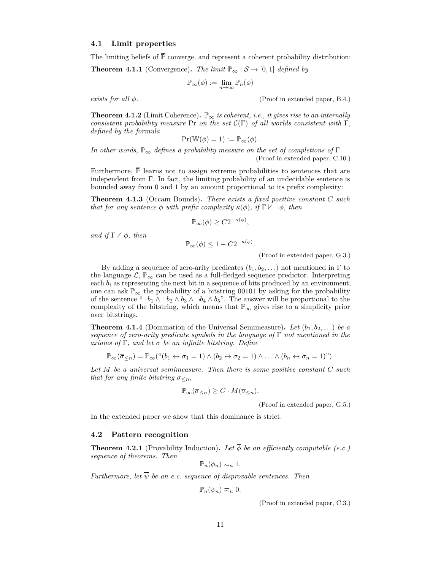## <span id="page-10-0"></span>**4.1 Limit properties**

The limiting beliefs of  $\overline{P}$  converge, and represent a coherent probability distribution:

**Theorem 4.1.1** (Convergence). The limit  $\mathbb{P}_{\infty} : \mathcal{S} \to [0,1]$  defined by

$$
\mathbb{P}_{\infty}(\phi) := \lim_{n \to \infty} \mathbb{P}_n(\phi)
$$

*exists for all φ.* (Proof in extended paper, B.4.)

<span id="page-10-2"></span>**Theorem 4.1.2** (Limit Coherence).  $\mathbb{P}_{\infty}$  *is coherent, i.e., it gives rise to an internally consistent probability measure* Pr *on the set*  $\mathcal{C}(\Gamma)$  *of all worlds consistent with*  $\Gamma$ *, defined by the formula*

$$
Pr(\mathbb{W}(\phi) = 1) := \mathbb{P}_{\infty}(\phi).
$$

*In other words,*  $\mathbb{P}_{\infty}$  *defines a probability measure on the set of completions of* Γ. (Proof in extended paper, C.10.)

Furthermore,  $\bar{\mathbb{P}}$  learns not to assign extreme probabilities to sentences that are independent from  $\Gamma$ . In fact, the limiting probability of an undecidable sentence is bounded away from 0 and 1 by an amount proportional to its prefix complexity:

**Theorem 4.1.3** (Occam Bounds)**.** *There exists a fixed positive constant C such that for any sentence*  $\phi$  *with prefix complexity*  $\kappa(\phi)$ *, if*  $\Gamma \nvdash \neg \phi$ *, then* 

$$
\mathbb{P}_{\infty}(\phi) \ge C2^{-\kappa(\phi)},
$$

*and if*  $\Gamma \nvdash \phi$ *, then* 

$$
\mathbb{P}_{\infty}(\phi) \le 1 - C2^{-\kappa(\phi)}.
$$

(Proof in extended paper, G.3.)

By adding a sequence of zero-arity predicates  $(b_1, b_2, \ldots)$  not mentioned in  $\Gamma$  to the language  $\mathcal{L}, \mathbb{P}_{\infty}$  can be used as a full-fledged sequence predictor. Interpreting each  $b_i$  as representing the next bit in a sequence of bits produced by an environment, one can ask  $\mathbb{P}_{\infty}$  the probability of a bitstring 00101 by asking for the probability of the sentence " $\neg b_1 \wedge \neg b_2 \wedge b_3 \wedge \neg b_4 \wedge b_5$ ". The answer will be proportional to the complexity of the bitstring, which means that  $\mathbb{P}_{\infty}$  gives rise to a simplicity prior over bitstrings.

**Theorem 4.1.4** (Domination of the Universal Semimeasure). Let  $(b_1, b_2, \ldots)$  be a *sequence of zero-arity predicate symbols in the language of* Γ *not mentioned in the axioms of* Γ*, and let σ be an infinite bitstring. Define*

$$
\mathbb{P}_{\infty}(\overline{\sigma}_{\leq n}) = \mathbb{P}_{\infty}(\mathbf{H}(b_1 \leftrightarrow \sigma_1 = 1) \land (b_2 \leftrightarrow \sigma_2 = 1) \land \dots \land (b_n \leftrightarrow \sigma_n = 1)^{\prime\prime}).
$$

*Let M be a universal semimeasure. Then there is some positive constant C such that for any finite bitstring*  $\overline{\sigma}_{\leq n}$ *,* 

$$
\mathbb{P}_{\infty}(\overline{\sigma}_{\leq n}) \geq C \cdot M(\overline{\sigma}_{\leq n}).
$$

(Proof in extended paper, G.5.)

In the extended paper we show that this dominance is strict.

#### <span id="page-10-1"></span>**4.2 Pattern recognition**

<span id="page-10-3"></span>**Theorem 4.2.1** (Provability Induction). Let  $\overline{\phi}$  be an efficiently computable (e.c.) *sequence of theorems. Then*

$$
\mathbb{P}_n(\phi_n) \eqsim_n 1.
$$

*Furthermore, let*  $\overline{\psi}$  *be an e.c. sequence of disprovable sentences. Then* 

$$
\mathbb{P}_n(\psi_n) \eqsim_n 0.
$$

(Proof in extended paper, C.3.)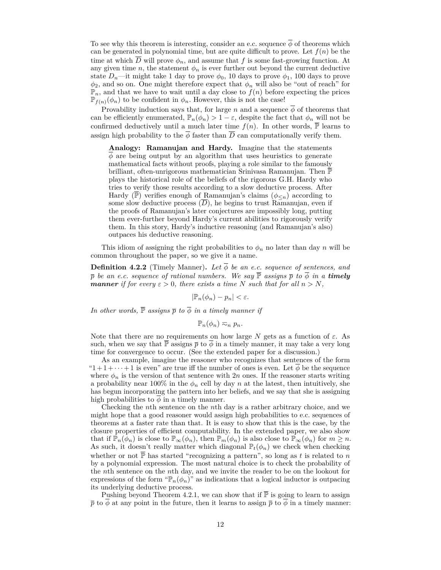To see why this theorem is interesting, consider an e.c. sequence  $\phi$  of theorems which can be generated in polynomial time, but are quite difficult to prove. Let  $f(n)$  be the time at which  $\overline{D}$  will prove  $\phi_n$ , and assume that f is some fast-growing function. At any given time *n*, the statement  $\phi_n$  is ever further out beyond the current deductive state  $D_n$ —it might take 1 day to prove  $\phi_0$ , 10 days to prove  $\phi_1$ , 100 days to prove  $\phi_2$ , and so on. One might therefore expect that  $\phi_n$  will also be "out of reach" for  $\mathbb{P}_n$ , and that we have to wait until a day close to  $f(n)$  before expecting the prices  $\mathbb{P}_{f(n)}(\phi_n)$  to be confident in  $\phi_n$ . However, this is not the case!

Provability induction says that, for large *n* and a sequence  $\phi$  of theorems that can be efficiently enumerated,  $\mathbb{P}_n(\phi_n) > 1 - \varepsilon$ , despite the fact that  $\phi_n$  will not be confirmed deductively until a much later time  $f(n)$ . In other words,  $\bar{P}$  learns to assign high probability to the  $\overline{\phi}$  faster than  $\overline{D}$  can computationally verify them.

**Analogy: Ramanujan and Hardy.** Imagine that the statements  $\overline{\phi}$  are being output by an algorithm that uses heuristics to generate mathematical facts without proofs, playing a role similar to the famously brilliant, often-unrigorous mathematician Srinivasa Ramanujan. Then P plays the historical role of the beliefs of the rigorous G.H. Hardy who tries to verify those results according to a slow deductive process. After Hardy (P) verifies enough of Ramanujan's claims  $(\phi_{\leq n})$  according to some slow deductive process  $(D)$ , he begins to trust Ramanujan, even if the proofs of Ramanujan's later conjectures are impossibly long, putting them ever-further beyond Hardy's current abilities to rigorously verify them. In this story, Hardy's inductive reasoning (and Ramanujan's also) outpaces his deductive reasoning.

This idiom of assigning the right probabilities to  $\phi_n$  no later than day *n* will be common throughout the paper, so we give it a name.

**Definition 4.2.2** (Timely Manner). Let  $\overline{\phi}$  be an e.c. sequence of sentences, and  $\bar{p}$  *be an e.c. sequence of rational numbers. We say*  $\bar{P}$  *assigns*  $\bar{p}$  *to*  $\bar{\phi}$  *in a timely manner if for every*  $\varepsilon > 0$ *, there exists a time N such that for all*  $n > N$ *,* 

$$
|\mathbb{P}_n(\phi_n)-p_n|<\varepsilon.
$$

*In other words,*  $\overline{P}$  *assigns*  $\overline{p}$  *to*  $\overline{\phi}$  *in a timely manner if* 

$$
\mathbb{P}_n(\phi_n) \eqsim_n p_n.
$$

Note that there are no requirements on how large *N* gets as a function of  $\varepsilon$ . As such, when we say that  $\bar{P}$  assigns  $\bar{p}$  to  $\bar{\phi}$  in a timely manner, it may take a very long time for convergence to occur. (See the extended paper for a discussion.)

As an example, imagine the reasoner who recognizes that sentences of the form  $i+1+\cdots+1$  is even" are true iff the number of ones is even. Let  $\overline{\phi}$  be the sequence where  $\phi_n$  is the version of that sentence with 2*n* ones. If the reasoner starts writing a probability near  $100\%$  in the  $\phi_n$  cell by day *n* at the latest, then intuitively, she has begun incorporating the pattern into her beliefs, and we say that she is assigning high probabilities to  $\phi$  in a timely manner.

Checking the *n*th sentence on the *n*th day is a rather arbitrary choice, and we might hope that a good reasoner would assign high probabilities to e.c. sequences of theorems at a faster rate than that. It is easy to show that this is the case, by the closure properties of efficient computability. In the extended paper, we also show that if  $\mathbb{P}_n(\phi_n)$  is close to  $\mathbb{P}_\infty(\phi_n)$ , then  $\mathbb{P}_m(\phi_n)$  is also close to  $\mathbb{P}_\infty(\phi_n)$  for  $m \geq n$ . As such, it doesn't really matter which diagonal  $\mathbb{P}_t(\phi_n)$  we check when checking whether or not  $\overline{P}$  has started "recognizing a pattern", so long as *t* is related to *n* by a polynomial expression. The most natural choice is to check the probability of the *n*th sentence on the *n*th day, and we invite the reader to be on the lookout for expressions of the form " $\mathbb{P}_n(\phi_n)$ " as indications that a logical inductor is outpacing its underlying deductive process.

Pushing beyond Theorem [4.2.1,](#page-10-3) we can show that if  $\overline{P}$  is going to learn to assign  $\bar{p}$  to  $\bar{\phi}$  at any point in the future, then it learns to assign  $\bar{p}$  to  $\bar{\phi}$  in a timely manner: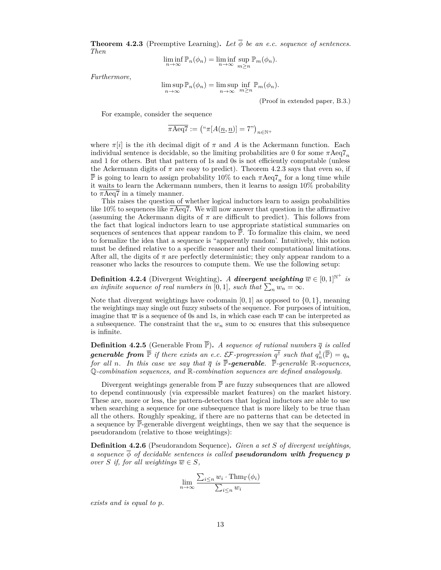<span id="page-12-0"></span>**Theorem 4.2.3** (Preemptive Learning). Let  $\overline{\phi}$  be an e.c. sequence of sentences. *Then*

$$
\liminf_{n \to \infty} \mathbb{P}_n(\phi_n) = \liminf_{n \to \infty} \sup_{m \ge n} \mathbb{P}_m(\phi_n).
$$

*Furthermore,*

$$
\limsup_{n \to \infty} \mathbb{P}_n(\phi_n) = \limsup_{n \to \infty} \inf_{m \ge n} \mathbb{P}_m(\phi_n).
$$

(Proof in extended paper, B.3.)

For example, consider the sequence

$$
\overline{\pi \text{Aeq7}} := \left( \text{``}\pi [A(\underline{n}, \underline{n})] = 7 \text{''} \right)_{n \in \mathbb{N}^+}
$$

where  $\pi[i]$  is the *i*th decimal digit of  $\pi$  and  $A$  is the Ackermann function. Each individual sentence is decidable, so the limiting probabilities are 0 for some  $\pi \text{Aeq} 7_n$ and 1 for others. But that pattern of 1s and 0s is not efficiently computable (unless the Ackermann digits of  $\pi$  are easy to predict). Theorem [4.2.3](#page-12-0) says that even so, if  $\bar{\mathbb{P}}$  is going to learn to assign probability 10% to each  $\pi \text{Aeq7}_n$  for a long time while it waits to learn the Ackermann numbers, then it learns to assign 10% probability to *π*Aeq7 in a timely manner.

This raises the question of whether logical inductors learn to assign probabilities like 10% to sequences like  $\overline{\pi \text{Aeq7}}$ . We will now answer that question in the affirmative (assuming the Ackermann digits of  $\pi$  are difficult to predict). This follows from the fact that logical inductors learn to use appropriate statistical summaries on sequences of sentences that appear random to  $\overline{P}$ . To formalize this claim, we need to formalize the idea that a sequence is "apparently random'. Intuitively, this notion must be defined relative to a specific reasoner and their computational limitations. After all, the digits of  $\pi$  are perfectly deterministic; they only appear random to a reasoner who lacks the resources to compute them. We use the following setup:

**Definition 4.2.4** (Divergent Weighting). *A divergent weighting*  $\overline{w} \in [0,1]^{\mathbb{N}^+}$  *is an infinite sequence of real numbers in* [0,1], such that  $\sum_{n} w_n = \infty$ .

Note that divergent weightings have codomain  $[0, 1]$  as opposed to  $\{0, 1\}$ , meaning the weightings may single out fuzzy subsets of the sequence. For purposes of intuition, imagine that  $\overline{w}$  is a sequence of 0s and 1s, in which case each  $\overline{w}$  can be interpreted as a subsequence. The constraint that the  $w_n$  sum to  $\infty$  ensures that this subsequence is infinite.

<span id="page-12-1"></span>**Definition 4.2.5** (Generable From  $\overline{\mathbb{P}}$ ). *A sequence of rational numbers*  $\overline{q}$  *is called generable from*  $\overline{\mathbb{P}}$  *if there exists an e.c.*  $\mathcal{EF}$ -progression  $\overline{q^{\dagger}}$  such that  $q^{\dagger}_n(\overline{\mathbb{P}}) = q_n$ *for all n. In this case we say that*  $\bar{q}$  *is*  $\bar{P}$ *-generable.*  $\bar{P}$ *-generable* R*-sequences*, Q*-combination sequences, and* R*-combination sequences are defined analogously.*

Divergent weightings generable from  $\overline{P}$  are fuzzy subsequences that are allowed to depend continuously (via expressible market features) on the market history. These are, more or less, the pattern-detectors that logical inductors are able to use when searching a sequence for one subsequence that is more likely to be true than all the others. Roughly speaking, if there are no patterns that can be detected in a sequence by  $\overline{\mathbb{P}}$ -generable divergent weightings, then we say that the sequence is pseudorandom (relative to those weightings):

**Definition 4.2.6** (Pseudorandom Sequence)**.** *Given a set S of divergent weightings, a* sequence  $\overline{\phi}$  *of decidable sentences is called pseudorandom with frequency p over S if, for all weightings*  $\overline{w} \in S$ *,* 

$$
\lim_{n \to \infty} \frac{\sum_{i \le n} w_i \cdot \operatorname{Thm}_{\Gamma}(\phi_i)}{\sum_{i \le n} w_i}
$$

*exists and is equal to p.*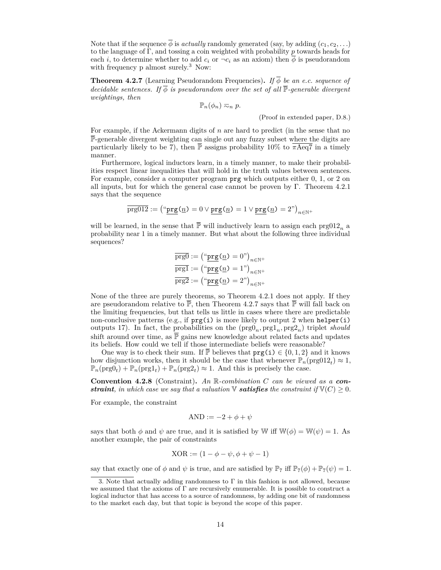Note that if the sequence  $\overline{\phi}$  is *actually* randomly generated (say, by adding  $(c_1, c_2, \ldots)$ ) to the language of Γ, and tossing a coin weighted with probability *p* towards heads for each *i*, to determine whether to add  $c_i$  or  $\neg c_i$  as an axiom) then  $\phi$  is pseudorandom with frequency p almost surely.<sup>[3](#page-13-0)</sup> Now:

<span id="page-13-1"></span>**Theorem 4.2.7** (Learning Pseudorandom Frequencies)**.** *If φ be an e.c. sequence of decidable sentences. If*  $\overline{\phi}$  *is pseudorandom over the set of all*  $\overline{P}$ -generable *divergent weightings, then*

$$
\mathbb{P}_n(\phi_n) \eqsim_n p.
$$

(Proof in extended paper, D.8.)

For example, if the Ackermann digits of *n* are hard to predict (in the sense that no  $\overline{\mathbb{P}}$ -generable divergent weighting can single out any fuzzy subset where the digits are particularly likely to be 7), then  $\overline{P}$  assigns probability 10% to  $\overline{\pi \text{Aeq7}}$  in a timely manner.

Furthermore, logical inductors learn, in a timely manner, to make their probabilities respect linear inequalities that will hold in the truth values between sentences. For example, consider a computer program prg which outputs either 0, 1, or 2 on all inputs, but for which the general case cannot be proven by Γ. Theorem [4.2.1](#page-10-3) says that the sequence

$$
\overline{\text{prg}012} := \left(\text{``}\underline{\text{prg}}\left(\underline{n}\right) = 0 \lor \underline{\text{prg}}\left(\underline{n}\right) = 1 \lor \underline{\text{prg}}\left(\underline{n}\right) = 2"\right)_{n \in \mathbb{N}^+}
$$

will be learned, in the sense that  $\overline{P}$  will inductively learn to assign each prg012<sub>n</sub> a probability near 1 in a timely manner. But what about the following three individual sequences?

$$
\overline{\text{prg0}} := \left( \text{``}\underline{\text{prg}}(\underline{n}) = 0 \text{''} \right)_{n \in \mathbb{N}^+}
$$
\n
$$
\overline{\text{prg1}} := \left( \text{``}\underline{\text{prg}}(\underline{n}) = 1 \text{''} \right)_{n \in \mathbb{N}^+}
$$
\n
$$
\overline{\text{prg2}} := \left( \text{``}\underline{\text{prg}}(\underline{n}) = 2 \text{''} \right)_{n \in \mathbb{N}^+}
$$

None of the three are purely theorems, so Theorem [4.2.1](#page-10-3) does not apply. If they are pseudorandom relative to  $\overline{P}$ , then Theorem [4.2.7](#page-13-1) says that  $\overline{P}$  will fall back on the limiting frequencies, but that tells us little in cases where there are predictable non-conclusive patterns (e.g., if prg(i) is more likely to output 2 when helper(i) outputs 17). In fact, the probabilities on the  $(\text{prg0}_n, \text{prg1}_n, \text{prg2}_n)$  triplet *should* shift around over time, as  $\overline{P}$  gains new knowledge about related facts and updates its beliefs. How could we tell if those intermediate beliefs were reasonable?

One way is to check their sum. If  $\overline{P}$  believes that  $\text{prg}(i) \in \{0, 1, 2\}$  and it knows how disjunction works, then it should be the case that whenever  $\mathbb{P}_n(\text{prg}012_t) \approx 1$ ,  $\mathbb{P}_n(\text{prg}(t) + \mathbb{P}_n(\text{prg}(t)) + \mathbb{P}_n(\text{prg}(t)) \approx 1$ . And this is precisely the case.

**Convention 4.2.8** (Constraint)**.** *An* R*-combination C can be viewed as a constraint, in which case we say that a valuation*  $\nabla$  *satisfies the constraint if*  $\nabla$ (*C*)  $\geq$  0*.* 

For example, the constraint

$$
AND := -2 + \phi + \psi
$$

says that both  $\phi$  and  $\psi$  are true, and it is satisfied by W iff  $W(\phi) = W(\psi) = 1$ . As another example, the pair of constraints

$$
XOR := (1 - \phi - \psi, \phi + \psi - 1)
$$

say that exactly one of  $\phi$  and  $\psi$  is true, and are satisfied by  $\mathbb{P}_7$  iff  $\mathbb{P}_7(\phi) + \mathbb{P}_7(\psi) = 1$ .

<span id="page-13-0"></span><sup>3.</sup> Note that actually adding randomness to  $\Gamma$  in this fashion is not allowed, because we assumed that the axioms of  $\Gamma$  are recursively enumerable. It is possible to construct a logical inductor that has access to a source of randomness, by adding one bit of randomness to the market each day, but that topic is beyond the scope of this paper.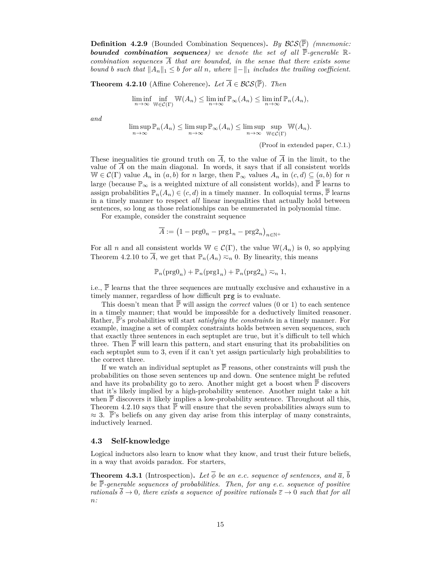<span id="page-14-2"></span>**Definition 4.2.9** (Bounded Combination Sequences)**.** *By* BCS(P) *(mnemonic:* **bounded combination sequences**) we denote the set of all  $\overline{P}$ -generable  $\mathbb{R}$ *combination sequences*  $\overline{A}$  *that are bounded, in the sense that there exists some bound b such that*  $||A_n||_1 \leq b$  *for all n, where*  $||-||_1$  *includes the trailing coefficient.* 

<span id="page-14-1"></span>**Theorem 4.2.10** (Affine Coherence). *Let*  $\overline{A} \in \mathcal{BCS}(\overline{\mathbb{P}})$ . *Then* 

$$
\liminf_{n \to \infty} \inf_{\mathbb{W} \in \mathcal{C}(\Gamma)} \mathbb{W}(A_n) \le \liminf_{n \to \infty} \mathbb{P}_{\infty}(A_n) \le \liminf_{n \to \infty} \mathbb{P}_n(A_n),
$$

*and*

$$
\limsup_{n \to \infty} \mathbb{P}_n(A_n) \le \limsup_{n \to \infty} \mathbb{P}_\infty(A_n) \le \limsup_{n \to \infty} \sup_{\mathbb{W} \in \mathcal{C}(\Gamma)} \mathbb{W}(A_n).
$$

(Proof in extended paper, C.1.)

These inequalities tie ground truth on  $\overline{A}$ , to the value of  $\overline{A}$  in the limit, to the value of  $\overline{A}$  on the main diagonal. In words, it says that if all consistent worlds  $W \in \mathcal{C}(\Gamma)$  value  $A_n$  in  $(a, b)$  for *n* large, then  $\mathbb{P}_{\infty}$  values  $A_n$  in  $(c, d) \subseteq (a, b)$  for *n* large (because  $\mathbb{P}_{\infty}$  is a weighted mixture of all consistent worlds), and  $\overline{\mathbb{P}}$  learns to assign probabilities  $\mathbb{P}_n(A_n) \in (c, d)$  in a timely manner. In colloquial terms,  $\overline{\mathbb{P}}$  learns in a timely manner to respect *all* linear inequalities that actually hold between sentences, so long as those relationships can be enumerated in polynomial time.

For example, consider the constraint sequence

$$
\overline{A} := (1 - \text{prg0}_n - \text{prg1}_n - \text{prg2}_n)_{n \in \mathbb{N}^+}
$$

For all *n* and all consistent worlds  $\mathbb{W} \in C(\Gamma)$ , the value  $\mathbb{W}(A_n)$  is 0, so applying Theorem [4.2.10](#page-14-1) to  $\overline{A}$ , we get that  $\mathbb{P}_n(A_n) \approx_n 0$ . By linearity, this means

$$
\mathbb{P}_n(\mathrm{prg0}_n) + \mathbb{P}_n(\mathrm{prg1}_n) + \mathbb{P}_n(\mathrm{prg2}_n) \eqsim_n 1,
$$

i.e.,  $\overline{\mathbb{P}}$  learns that the three sequences are mutually exclusive and exhaustive in a timely manner, regardless of how difficult prg is to evaluate.

This doesn't mean that  $\overline{P}$  will assign the *correct* values (0 or 1) to each sentence in a timely manner; that would be impossible for a deductively limited reasoner. Rather,  $\bar{P}$ 's probabilities will start *satisfying the constraints* in a timely manner. For example, imagine a set of complex constraints holds between seven sequences, such that exactly three sentences in each septuplet are true, but it's difficult to tell which three. Then  $\mathbb P$  will learn this pattern, and start ensuring that its probabilities on each septuplet sum to 3, even if it can't yet assign particularly high probabilities to the correct three.

If we watch an individual septuplet as  $\overline{P}$  reasons, other constraints will push the probabilities on those seven sentences up and down. One sentence might be refuted and have its probability go to zero. Another might get a boost when  $\overline{P}$  discovers that it's likely implied by a high-probability sentence. Another might take a hit when  $\bar{P}$  discovers it likely implies a low-probability sentence. Throughout all this, Theorem [4.2.10](#page-14-1) says that  $\overline{P}$  will ensure that the seven probabilities always sum to  $\approx 3$ . P's beliefs on any given day arise from this interplay of many constraints, inductively learned.

#### <span id="page-14-0"></span>**4.3 Self-knowledge**

Logical inductors also learn to know what they know, and trust their future beliefs, in a way that avoids paradox. For starters,

**Theorem 4.3.1** (Introspection). Let  $\overline{\phi}$  be an e.c. sequence of sentences, and  $\overline{a}$ ,  $\overline{b}$ *be* P*-generable sequences of probabilities. Then, for any e.c. sequence of positive rationals*  $\overline{\delta} \to 0$ *, there exists a sequence of positive rationals*  $\overline{\epsilon} \to 0$  *such that for all n:*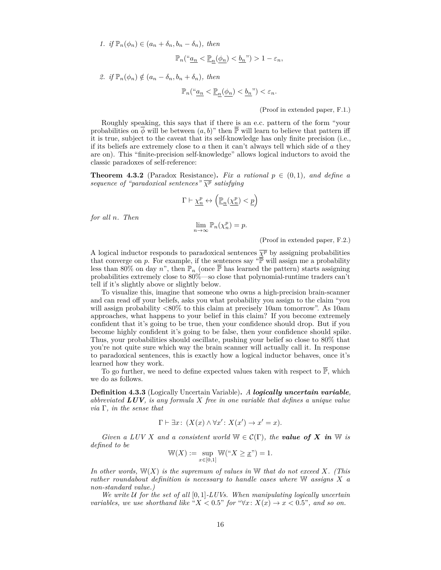*1. if*  $\mathbb{P}_n(\phi_n) \in (a_n + \delta_n, b_n - \delta_n)$ , then

$$
\mathbb{P}_n(\text{``}\underline{a_n} < \underline{\mathbb{P}_n}(\underline{\phi_n}) < \underline{b_n}\text{''}) > 1 - \varepsilon_n,
$$

2. *if*  $\mathbb{P}_n(\phi_n) \notin (a_n - \delta_n, b_n + \delta_n)$ , then

$$
\mathbb{P}_n\left(\text{``}\underline{a_n} < \underline{\mathbb{P}_n}(\underline{\phi_n}) < \underline{b_n}\text{''}\right) < \varepsilon_n.
$$

(Proof in extended paper, F.1.)

Roughly speaking, this says that if there is an e.c. pattern of the form "your probabilities on  $\phi$  will be between  $(a, b)$ " then P will learn to believe that pattern iff it is true, subject to the caveat that its self-knowledge has only finite precision (i.e., if its beliefs are extremely close to *a* then it can't always tell which side of *a* they are on). This "finite-precision self-knowledge" allows logical inductors to avoid the classic paradoxes of self-reference:

**Theorem 4.3.2** (Paradox Resistance). Fix a rational  $p \in (0,1)$ , and define a *sequence of "paradoxical sentences"*  $\overline{\chi^p}$  *satisfying* 

$$
\Gamma \vdash \underline{\chi^p_n} \leftrightarrow \left(\underline{\mathbb{P}_n}(\underline{\chi^p_n}) < \underline{p}\right)
$$

*for all n. Then*

 $\lim_{n\to\infty} \mathbb{P}_n(\chi_n^p) = p.$ 

(Proof in extended paper, F.2.)

A logical inductor responds to paradoxical sentences  $\overline{\chi^p}$  by assigning probabilities that converge on  $p$ . For example, if the sentences say " $\overline{P}$  will assign me a probability less than 80% on day *n*", then  $\mathbb{P}_n$  (once  $\overline{\mathbb{P}}$  has learned the pattern) starts assigning probabilities extremely close to 80%—so close that polynomial-runtime traders can't tell if it's slightly above or slightly below.

To visualize this, imagine that someone who owns a high-precision brain-scanner and can read off your beliefs, asks you what probability you assign to the claim "you will assign probability *<*80% to this claim at precisely 10am tomorrow". As 10am approaches, what happens to your belief in this claim? If you become extremely confident that it's going to be true, then your confidence should drop. But if you become highly confident it's going to be false, then your confidence should spike. Thus, your probabilities should oscillate, pushing your belief so close to 80% that you're not quite sure which way the brain scanner will actually call it. In response to paradoxical sentences, this is exactly how a logical inductor behaves, once it's learned how they work.

To go further, we need to define expected values taken with respect to  $\overline{P}$ , which we do as follows.

**Definition 4.3.3** (Logically Uncertain Variable)**.** *A logically uncertain variable, abbreviated LUV, is any formula X free in one variable that defines a unique value via* Γ*, in the sense that*

$$
\Gamma \vdash \exists x \colon (X(x) \land \forall x' \colon X(x') \to x' = x).
$$

*Given a LUV X and a consistent world*  $W \in \mathcal{C}(\Gamma)$ *, the value of X in* W *is defined to be*

$$
\mathbb{W}(X) := \sup_{x \in [0,1]} \mathbb{W}("X \geq \underline{x}") = 1.
$$

*In other words,* W(*X*) *is the supremum of values in* W *that do not exceed X. (This rather roundabout definition is necessary to handle cases where* W *assigns X a non-standard value.)*

*We write* U *for the set of all* [0*,* 1]*-LUVs. When manipulating logically uncertain variables, we use shorthand like* " $X < 0.5$ " *for* " $\forall x \colon X(x) \to x < 0.5$ ", and so on.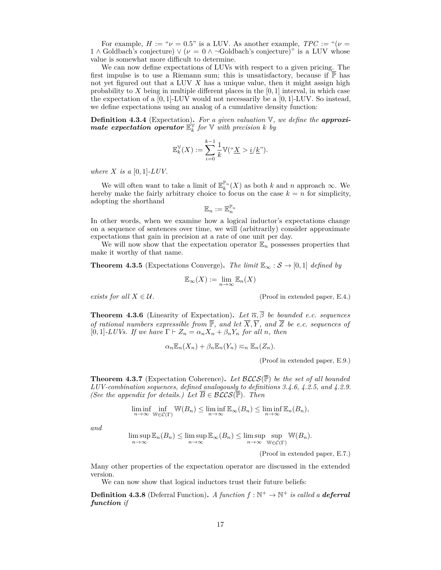For example,  $H := \nu = 0.5$ " is a LUV. As another example,  $TPC := \nu$ 1 ∧ Goldbach's conjecture)  $\vee$  ( $\nu = 0 \wedge \neg$ Goldbach's conjecture)" is a LUV whose value is somewhat more difficult to determine.

We can now define expectations of LUVs with respect to a given pricing. The first impulse is to use a Riemann sum; this is unsatisfactory, because if  $\mathbb P$  has not yet figured out that a LUV *X* has a unique value, then it might assign high probability to *X* being in multiple different places in the [0*,* 1] interval, in which case the expectation of a [0*,* 1]-LUV would not necessarily be a [0*,* 1]-LUV. So instead, we define expectations using an analog of a cumulative density function:

**Definition 4.3.4** (Expectation)**.** *For a given valuation* V*, we define the approxi-* $\boldsymbol{m}$  *ate expectation operator*  $\mathbb{E}_{k}^{\mathbb{V}}$  *for*  $\mathbb{V}$  *with precision*  $k$  *by* 

$$
\mathbb{E}_k^{\mathbb{V}}(X):=\sum_{i=0}^{k-1}\frac{1}{k}\mathbb{V}({}^\omega \underline{X}>i/\underline{k}").
$$

*where*  $X$  *is a* [0, 1]*-LUV*.

We will often want to take a limit of  $\mathbb{E}_k^{\mathbb{P}_n}(X)$  as both *k* and *n* approach  $\infty$ . We hereby make the fairly arbitrary choice to focus on the case  $k = n$  for simplicity, adopting the shorthand

$$
\mathbb{E}_n:=\mathbb{E}_n^{\mathbb{P}_n}
$$

In other words, when we examine how a logical inductor's expectations change on a sequence of sentences over time, we will (arbitrarily) consider approximate expectations that gain in precision at a rate of one unit per day.

We will now show that the expectation operator  $\mathbb{E}_n$  possesses properties that make it worthy of that name.

**Theorem 4.3.5** (Expectations Converge). The limit  $\mathbb{E}_{\infty}$  :  $\mathcal{S} \to [0,1]$  defined by

$$
\mathbb{E}_{\infty}(X) := \lim_{n \to \infty} \mathbb{E}_n(X)
$$

*exists for all*  $X \in \mathcal{U}$ . (Proof in extended paper, E.4.)

**Theorem 4.3.6** (Linearity of Expectation). Let  $\overline{\alpha}, \overline{\beta}$  be bounded e.c. sequences *of rational numbers expressible from*  $\overline{\mathbb{P}}$ *, and let*  $\overline{X}, \overline{Y}$ *, and*  $\overline{Z}$  *be e.c. sequences of*  $[0,1]$ -*LUVs.* If we have  $\Gamma \vdash Z_n = \alpha_n X_n + \beta_n Y_n$  for all *n*, then

$$
\alpha_n \mathbb{E}_n(X_n) + \beta_n \mathbb{E}_n(Y_n) \eqsim_n \mathbb{E}_n(Z_n).
$$

(Proof in extended paper, E.9.)

**Theorem 4.3.7** (Expectation Coherence). Let  $\mathcal{BLCS}(\overline{\mathbb{P}})$  be the set of all bounded *LUV-combination sequences, defined analogously to definitions [3.4.6,](#page-8-1) [4.2.5,](#page-12-1) and [4.2.9.](#page-14-2) (See the appendix for details.) Let*  $\overline{B} \in \mathcal{BLCS}(\overline{P})$ *. Then* 

$$
\liminf_{n\to\infty}\inf_{\mathbb{W}\in\mathcal{C}(\Gamma)}\mathbb{W}(B_n)\leq \liminf_{n\to\infty}\mathbb{E}_{\infty}(B_n)\leq \liminf_{n\to\infty}\mathbb{E}_n(B_n),
$$

*and*

$$
\limsup_{n \to \infty} \mathbb{E}_n(B_n) \le \limsup_{n \to \infty} \mathbb{E}_\infty(B_n) \le \limsup_{n \to \infty} \sup_{\mathbb{W} \in \mathcal{C}(\Gamma)} \mathbb{W}(B_n).
$$

(Proof in extended paper, E.7.)

Many other properties of the expectation operator are discussed in the extended version.

We can now show that logical inductors trust their future beliefs:

**Definition 4.3.8** (Deferral Function). *A function*  $f : \mathbb{N}^+ \to \mathbb{N}^+$  *is called a deferral function if*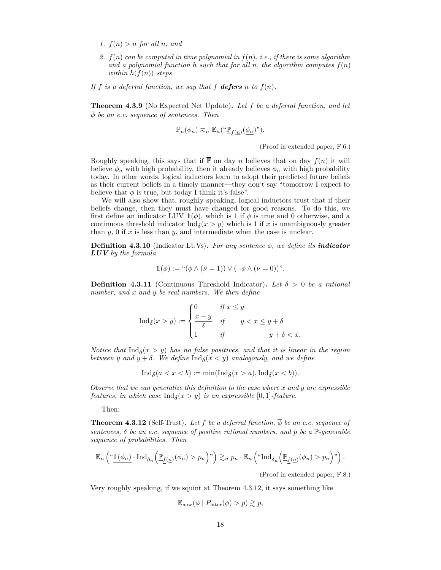- 1.  $f(n) > n$  *for all n, and*
- *2. f*(*n*) *can be computed in time polynomial in f*(*n*)*, i.e., if there is some algorithm* and a polynomial function h such that for all n, the algorithm computes  $f(n)$ *within*  $h(f(n))$  *steps.*
- If *f* is a deferral function, we say that *f* **defers** *n* to  $f(n)$ *.*

**Theorem 4.3.9** (No Expected Net Update)**.** *Let f be a deferral function, and let φ be an e.c. sequence of sentences. Then*

$$
\mathbb{P}_n(\phi_n) \eqsim_n \mathbb{E}_n(\text{``}\underline{\mathbb{P}}_{f(\underline{n})}(\underline{\phi_n})\text{''}).
$$

(Proof in extended paper, F.6.)

Roughly speaking, this says that if  $\overline{P}$  on day *n* believes that on day  $f(n)$  it will believe  $\phi_n$  with high probability, then it already believes  $\phi_n$  with high probability today. In other words, logical inductors learn to adopt their predicted future beliefs as their current beliefs in a timely manner—they don't say "tomorrow I expect to believe that  $\phi$  is true, but today I think it's false".

We will also show that, roughly speaking, logical inductors trust that if their beliefs change, then they must have changed for good reasons. To do this, we first define an indicator LUV  $\mathbb{1}(\phi)$ , which is 1 if  $\phi$  is true and 0 otherwise, and a continuous threshold indicator  $\text{Ind}_{\delta}(x > y)$  which is 1 if *x* is unambiguously greater than  $y$ ,  $0$  if  $x$  is less than  $y$ , and intermediate when the case is unclear.

**Definition 4.3.10** (Indicator LUVs). For any sentence  $\phi$ , we define its **indicator** *LUV by the formula*

$$
1(\phi) := \text{``}(\phi \land (\nu = 1)) \lor (\neg \phi \land (\nu = 0))\text{''}.
$$

**Definition 4.3.11** (Continuous Threshold Indicator). Let  $\delta > 0$  be a rational *number, and x and y be real numbers. We then define*

$$
\operatorname{Ind}_{\delta}(x > y) := \begin{cases} 0 & \text{if } x \le y \\ \frac{x - y}{\delta} & \text{if } y < x \le y + \delta \\ 1 & \text{if } y + \delta < x. \end{cases}
$$

*Notice that*  $\text{Ind}_{\delta}(x > y)$  *has no false positives, and that it is linear in the region between y* and  $y + \delta$ . We define  $\text{Ind}_{\delta}(x < y)$  analogously, and we define

$$
\operatorname{Ind}_{\delta}(a < x < b) := \min(\operatorname{Ind}_{\delta}(x > a), \operatorname{Ind}_{\delta}(x < b)).
$$

*Observe that we can generalize this definition to the case where x and y are expressible features, in which case*  $\text{Ind}_{\delta}(x > y)$  *is an expressible* [0, 1]*-feature.* 

Then:

<span id="page-17-0"></span>**Theorem 4.3.12** (Self-Trust). Let f be a deferral function,  $\overline{\phi}$  be an e.c. sequence of *sentences,*  $\overline{\delta}$  *be an e.c. sequence of positive rational numbers, and*  $\overline{p}$  *be a*  $\overline{P}$ *-generable sequence of probabilities. Then*

$$
\mathbb{E}_n\left(\H\cdot \underline{\mathbf{1}(\phi_n)}\cdot \underline{\mathrm{Ind}_{\delta_n}\Big(\mathbb{P}_{\underline{f}(n)}(\phi_n) > \underline{p_n}\Big)},\right) \gtrsim_n p_n \cdot \mathbb{E}_n\left(\H\cdot \underline{\mathrm{Ind}_{\delta_n}\Big(\mathbb{P}_{\underline{f}(n)}(\phi_n) > \underline{p_n}\Big)},\right).
$$

(Proof in extended paper, F.8.)

Very roughly speaking, if we squint at Theorem [4.3.12,](#page-17-0) it says something like

$$
\mathbb{E}_{\text{now}}(\phi \mid P_{\text{later}}(\phi) > p) \gtrsim p,
$$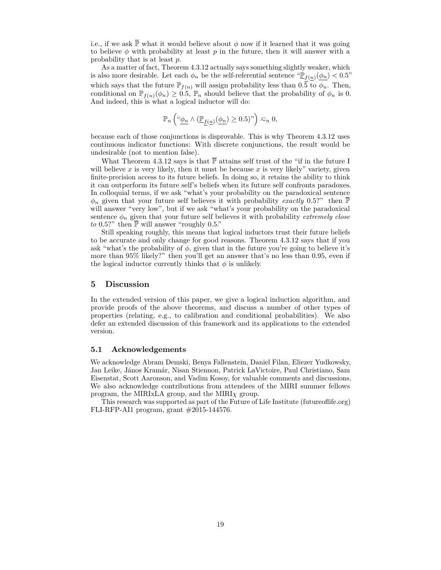i.e., if we ask  $\overline{P}$  what it would believe about  $\phi$  now if it learned that it was going to believe  $\phi$  with probability at least  $p$  in the future, then it will answer with a probability that is at least *p*.

As a matter of fact, Theorem [4.3.12](#page-17-0) actually says something slightly weaker, which is also more desirable. Let each  $\phi_n$  be the self-referential sentence  $\mathbb{E}_{f(n)}(\phi_n) < 0.5$ " which says that the future  $\mathbb{P}_{f(n)}$  will assign probability less than  $0.\overline{5}$  to  $\phi_n$ . Then, conditional on  $\mathbb{P}_{f(n)}(\phi_n) \geq 0.5$ ,  $\mathbb{P}_n$  should believe that the probability of  $\phi_n$  is 0. And indeed, this is what a logical inductor will do:

$$
\mathbb{P}_n\left({}^\omega \underline{\phi_n} \wedge (\underline{\mathbb{P}}_{\underline{f}(n)}(\underline{\phi_n}) \ge 0.5)"\right) \eqsim_n 0,
$$

because each of those conjunctions is disprovable. This is why Theorem [4.3.12](#page-17-0) uses continuous indicator functions: With discrete conjunctions, the result would be undesirable (not to mention false).

What Theorem [4.3.12](#page-17-0) says is that  $\overline{P}$  attains self trust of the "if in the future I will believe x is very likely, then it must be because x is very likely" variety, given finite-precision access to its future beliefs. In doing so, it retains the ability to think it can outperform its future self's beliefs when its future self confronts paradoxes. In colloquial terms, if we ask "what's your probability on the paradoxical sentence  $\phi_n$  given that your future self believes it with probability *exactly* 0.5?" then  $\overline{P}$ will answer "very low", but if we ask "what's your probability on the paradoxical sentence  $\phi_n$  given that your future self believes it with probability *extremely close to* 0.5?" then  $\overline{P}$  will answer "roughly 0.5."

Still speaking roughly, this means that logical inductors trust their future beliefs to be accurate and only change for good reasons. Theorem [4.3.12](#page-17-0) says that if you ask "what's the probability of  $\phi$ , given that in the future you're going to believe it's more than 95% likely?" then you'll get an answer that's no less than 0*.*95, even if the logical inductor currently thinks that  $\phi$  is unlikely.

## **5 Discussion**

In the extended version of this paper, we give a logical induction algorithm, and provide proofs of the above theorems, and discuss a number of other types of properties (relating, e.g., to calibration and conditional probabilities). We also defer an extended discussion of this framework and its applications to the extended version.

#### **5.1 Acknowledgements**

We acknowledge Abram Demski, Benya Fallenstein, Daniel Filan, Eliezer Yudkowsky, Jan Leike, János Kramár, Nisan Stiennon, Patrick LaVictoire, Paul Christiano, Sam Eisenstat, Scott Aaronson, and Vadim Kosoy, for valuable comments and discussions. We also acknowledge contributions from attendees of the MIRI summer fellows program, the MIRIxLA group, and the MIRI*χ* group.

This research was supported as part of the Future of Life Institute (futureoflife.org) FLI-RFP-AI1 program, grant #2015-144576.